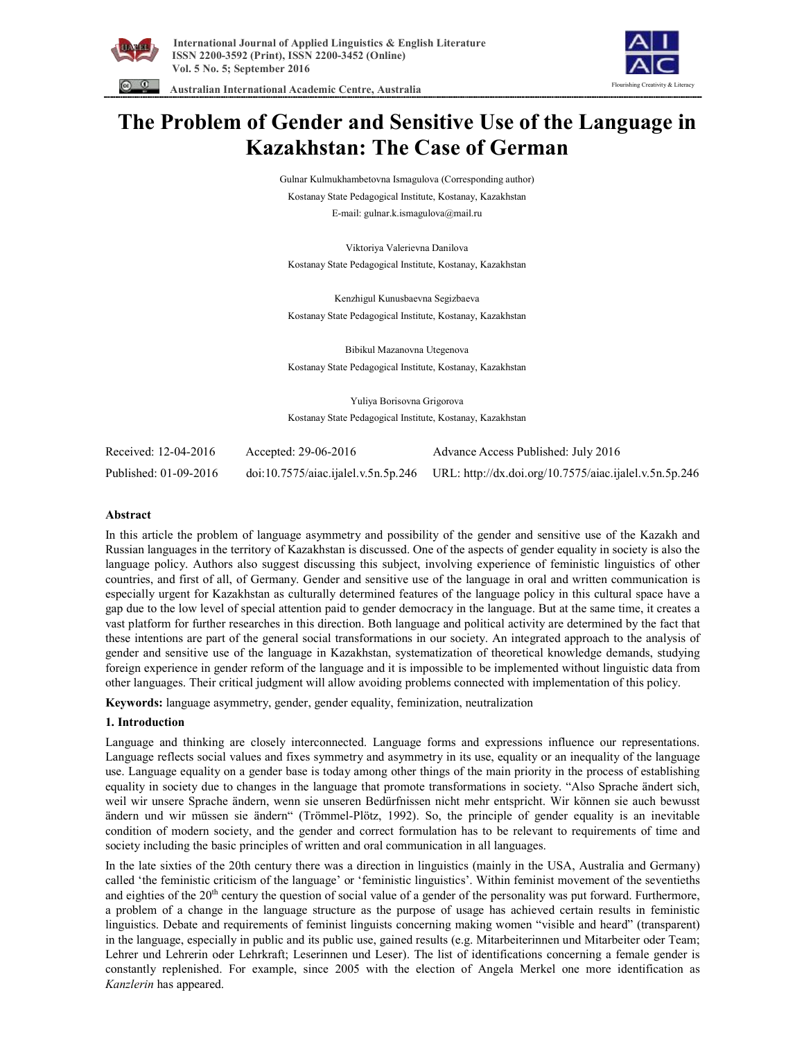



 **Australian International Academic Centre, Australia** 

# **The Problem of Gender and Sensitive Use of the Language in Kazakhstan: The Case of German**

Gulnar Kulmukhambetovna Ismagulova (Corresponding author) Kostanay State Pedagogical Institute, Kostanay, Kazakhstan E-mail: gulnar.k.ismagulova@mail.ru

Viktoriya Valerievna Danilova Kostanay State Pedagogical Institute, Kostanay, Kazakhstan

Kenzhigul Kunusbaevna Segizbaeva Kostanay State Pedagogical Institute, Kostanay, Kazakhstan

Bibikul Mazanovna Utegenova Kostanay State Pedagogical Institute, Kostanay, Kazakhstan

Yuliya Borisovna Grigorova Kostanay State Pedagogical Institute, Kostanay, Kazakhstan

| Received: 12-04-2016  | Accepted: $29-06-2016$ | Advance Access Published: July 2016                                                        |
|-----------------------|------------------------|--------------------------------------------------------------------------------------------|
| Published: 01-09-2016 |                        | doi:10.7575/aiac.ijalel.v.5n.5p.246 URL: http://dx.doi.org/10.7575/aiac.ijalel.v.5n.5p.246 |

#### **Abstract**

In this article the problem of language asymmetry and possibility of the gender and sensitive use of the Kazakh and Russian languages in the territory of Kazakhstan is discussed. One of the aspects of gender equality in society is also the language policy. Authors also suggest discussing this subject, involving experience of feministic linguistics of other countries, and first of all, of Germany. Gender and sensitive use of the language in oral and written communication is especially urgent for Kazakhstan as culturally determined features of the language policy in this cultural space have a gap due to the low level of special attention paid to gender democracy in the language. But at the same time, it creates a vast platform for further researches in this direction. Both language and political activity are determined by the fact that these intentions are part of the general social transformations in our society. An integrated approach to the analysis of gender and sensitive use of the language in Kazakhstan, systematization of theoretical knowledge demands, studying foreign experience in gender reform of the language and it is impossible to be implemented without linguistic data from other languages. Their critical judgment will allow avoiding problems connected with implementation of this policy.

**Keywords:** language asymmetry, gender, gender equality, feminization, neutralization

#### **1. Introduction**

Language and thinking are closely interconnected. Language forms and expressions influence our representations. Language reflects social values and fixes symmetry and asymmetry in its use, equality or an inequality of the language use. Language equality on a gender base is today among other things of the main priority in the process of establishing equality in society due to changes in the language that promote transformations in society. "Also Sprache ändert sich, weil wir unsere Sprache ändern, wenn sie unseren Bedürfnissen nicht mehr entspricht. Wir können sie auch bewusst ändern und wir müssen sie ändern" (Trömmel-Plötz, 1992). So, the principle of gender equality is an inevitable condition of modern society, and the gender and correct formulation has to be relevant to requirements of time and society including the basic principles of written and oral communication in all languages.

In the late sixties of the 20th century there was a direction in linguistics (mainly in the USA, Australia and Germany) called 'the feministic criticism of the language' or 'feministic linguistics'. Within feminist movement of the seventieths and eighties of the 20<sup>th</sup> century the question of social value of a gender of the personality was put forward. Furthermore, a problem of a change in the language structure as the purpose of usage has achieved certain results in feministic linguistics. Debate and requirements of feminist linguists concerning making women "visible and heard" (transparent) in the language, especially in public and its public use, gained results (e.g. Mitarbeiterinnen und Mitarbeiter oder Team; Lehrer und Lehrerin oder Lehrkraft; Leserinnen und Leser). The list of identifications concerning a female gender is constantly replenished. For example, since 2005 with the election of Angela Merkel one more identification as *Kanzlerin* has appeared.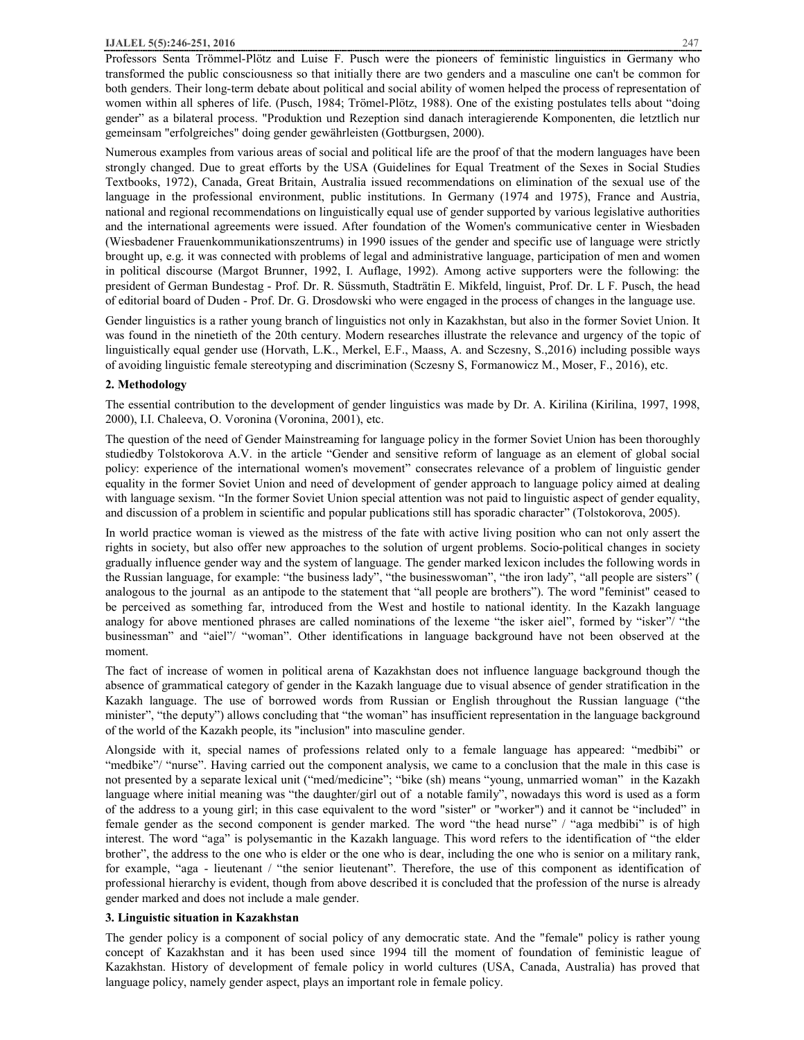Professors Senta Trömmel-Plötz and Luise F. Pusch were the pioneers of feministic linguistics in Germany who transformed the public consciousness so that initially there are two genders and a masculine one can't be common for both genders. Their long-term debate about political and social ability of women helped the process of representation of women within all spheres of life. (Pusch, 1984; Trömel-Plötz, 1988). One of the existing postulates tells about "doing gender" as a bilateral process. "Produktion und Rezeption sind danach interagierende Komponenten, die letztlich nur gemeinsam "erfolgreiches" doing gender gewährleisten (Gottburgsen, 2000).

Numerous examples from various areas of social and political life are the proof of that the modern languages have been strongly changed. Due to great efforts by the USA (Guidelines for Equal Treatment of the Sexes in Social Studies Textbooks, 1972), Canada, Great Britain, Australia issued recommendations on elimination of the sexual use of the language in the professional environment, public institutions. In Germany (1974 and 1975), France and Austria, national and regional recommendations on linguistically equal use of gender supported by various legislative authorities and the international agreements were issued. After foundation of the Women's communicative center in Wiesbaden (Wiesbadener Frauenkommunikationszentrums) in 1990 issues of the gender and specific use of language were strictly brought up, e.g. it was connected with problems of legal and administrative language, participation of men and women in political discourse (Margot Brunner, 1992, I. Auflage, 1992). Among active supporters were the following: the president of German Bundestag - Prof. Dr. R. Süssmuth, Stadträtin E. Mikfeld, linguist, Prof. Dr. L F. Pusch, the head of editorial board of Duden - Prof. Dr. G. Drosdowski who were engaged in the process of changes in the language use.

Gender linguistics is a rather young branch of linguistics not only in Kazakhstan, but also in the former Soviet Union. It was found in the ninetieth of the 20th century. Modern researches illustrate the relevance and urgency of the topic of linguistically equal gender use (Horvath, L.K., Merkel, E.F., Maass, A. and Sczesny, S.,2016) including possible ways of avoiding linguistic female stereotyping and discrimination (Sczesny S, Formanowicz M., Moser, F., 2016), etc.

## **2. Methodology**

The essential contribution to the development of gender linguistics was made by Dr. A. Kirilina (Kirilina, 1997, 1998, 2000), I.I. Chaleeva, O. Voronina (Voronina, 2001), etc.

The question of the need of Gender Mainstreaming for language policy in the former Soviet Union has been thoroughly studiedby Tolstokorova A.V. in the article "Gender and sensitive reform of language as an element of global social policy: experience of the international women's movement" consecrates relevance of a problem of linguistic gender equality in the former Soviet Union and need of development of gender approach to language policy aimed at dealing with language sexism. "In the former Soviet Union special attention was not paid to linguistic aspect of gender equality, and discussion of a problem in scientific and popular publications still has sporadic character" (Tolstokorova, 2005).

In world practice woman is viewed as the mistress of the fate with active living position who can not only assert the rights in society, but also offer new approaches to the solution of urgent problems. Socio-political changes in society gradually influence gender way and the system of language. The gender marked lexicon includes the following words in the Russian language, for example: "the business lady", "the businesswoman", "the iron lady", "all people are sisters" ( analogous to the journal as an antipode to the statement that "all people are brothers"). The word "feminist" ceased to be perceived as something far, introduced from the West and hostile to national identity. In the Kazakh language analogy for above mentioned phrases are called nominations of the lexeme "the isker aiel", formed by "isker"/ "the businessman" and "aiel"/ "woman". Other identifications in language background have not been observed at the moment.

The fact of increase of women in political arena of Kazakhstan does not influence language background though the absence of grammatical category of gender in the Kazakh language due to visual absence of gender stratification in the Kazakh language. The use of borrowed words from Russian or English throughout the Russian language ("the minister", "the deputy") allows concluding that "the woman" has insufficient representation in the language background of the world of the Kazakh people, its "inclusion" into masculine gender.

Alongside with it, special names of professions related only to a female language has appeared: "medbibi" or "medbike"/ "nurse". Having carried out the component analysis, we came to a conclusion that the male in this case is not presented by a separate lexical unit ("med/medicine"; "bike (sh) means "young, unmarried woman" in the Kazakh language where initial meaning was "the daughter/girl out of a notable family", nowadays this word is used as a form of the address to a young girl; in this case equivalent to the word "sister" or "worker") and it cannot be "included" in female gender as the second component is gender marked. The word "the head nurse" / "aga medbibi" is of high interest. The word "aga" is polysemantic in the Kazakh language. This word refers to the identification of "the elder brother", the address to the one who is elder or the one who is dear, including the one who is senior on a military rank, for example, "aga - lieutenant / "the senior lieutenant". Therefore, the use of this component as identification of professional hierarchy is evident, though from above described it is concluded that the profession of the nurse is already gender marked and does not include a male gender.

# **3. Linguistic situation in Kazakhstan**

The gender policy is a component of social policy of any democratic state. And the "female" policy is rather young concept of Kazakhstan and it has been used since 1994 till the moment of foundation of feministic league of Kazakhstan. History of development of female policy in world cultures (USA, Canada, Australia) has proved that language policy, namely gender aspect, plays an important role in female policy.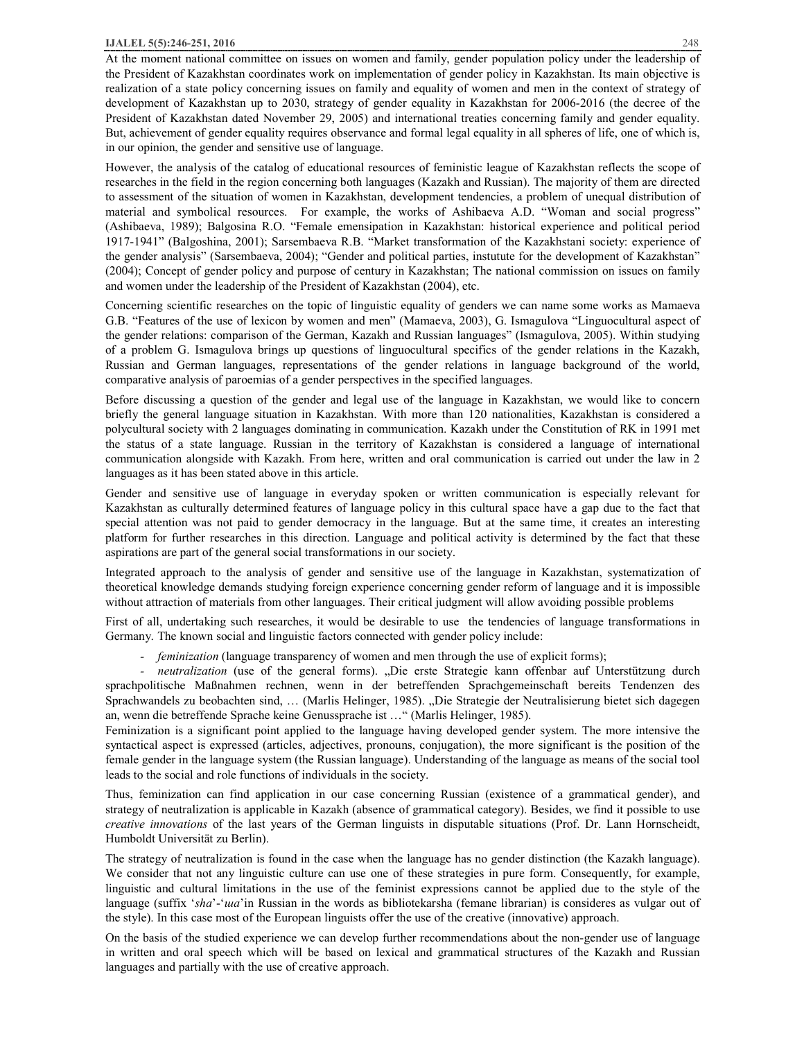#### **IJALEL 5(5):246-251, 2016** 248

At the moment national committee on issues on women and family, gender population policy under the leadership of the President of Kazakhstan coordinates work on implementation of gender policy in Kazakhstan. Its main objective is realization of a state policy concerning issues on family and equality of women and men in the context of strategy of development of Kazakhstan up to 2030, strategy of gender equality in Kazakhstan for 2006-2016 (the decree of the President of Kazakhstan dated November 29, 2005) and international treaties concerning family and gender equality. But, achievement of gender equality requires observance and formal legal equality in all spheres of life, one of which is, in our opinion, the gender and sensitive use of language.

However, the analysis of the catalog of educational resources of feministic league of Kazakhstan reflects the scope of researches in the field in the region concerning both languages (Kazakh and Russian). The majority of them are directed to assessment of the situation of women in Kazakhstan, development tendencies, a problem of unequal distribution of material and symbolical resources. For example, the works of Ashibaeva А.D. "Woman and social progress" (Ashibaeva, 1989); Balgosina R.O. "Female emensipation in Kazakhstan: historical experience and political period 1917-1941" (Balgoshina, 2001); Sarsembaeva R.B. "Market transformation of the Kazakhstani society: experience of the gender analysis" (Sarsembaeva, 2004); "Gender and political parties, instutute for the development of Kazakhstan" (2004); Concept of gender policy and purpose of century in Kazakhstan; The national commission on issues on family and women under the leadership of the President of Kazakhstan (2004), etc.

Concerning scientific researches on the topic of linguistic equality of genders we can name some works as Mamaeva G.B. "Features of the use of lexicon by women and men" (Mamaeva, 2003), G. Ismagulova "Linguocultural aspect of the gender relations: comparison of the German, Kazakh and Russian languages" (Ismagulova, 2005). Within studying of a problem G. Ismagulova brings up questions of linguocultural specifics of the gender relations in the Kazakh, Russian and German languages, representations of the gender relations in language background of the world, comparative analysis of paroemias of a gender perspectives in the specified languages.

Before discussing a question of the gender and legal use of the language in Kazakhstan, we would like to concern briefly the general language situation in Kazakhstan. With more than 120 nationalities, Kazakhstan is considered a polycultural society with 2 languages dominating in communication. Kazakh under the Constitution of RK in 1991 met the status of a state language. Russian in the territory of Kazakhstan is considered a language of international communication alongside with Kazakh. From here, written and oral communication is carried out under the law in 2 languages as it has been stated above in this article.

Gender and sensitive use of language in everyday spoken or written communication is especially relevant for Kazakhstan as culturally determined features of language policy in this cultural space have a gap due to the fact that special attention was not paid to gender democracy in the language. But at the same time, it creates an interesting platform for further researches in this direction. Language and political activity is determined by the fact that these aspirations are part of the general social transformations in our society.

Integrated approach to the analysis of gender and sensitive use of the language in Kazakhstan, systematization of theoretical knowledge demands studying foreign experience concerning gender reform of language and it is impossible without attraction of materials from other languages. Their critical judgment will allow avoiding possible problems

First of all, undertaking such researches, it would be desirable to use the tendencies of language transformations in Germany. The known social and linguistic factors connected with gender policy include:

*- feminization* (language transparency of women and men through the use of explicit forms);

*neutralization* (use of the general forms). "Die erste Strategie kann offenbar auf Unterstützung durch sprachpolitische Maßnahmen rechnen, wenn in der betreffenden Sprachgemeinschaft bereits Tendenzen des Sprachwandels zu beobachten sind, ... (Marlis Helinger, 1985). "Die Strategie der Neutralisierung bietet sich dagegen an, wenn die betreffende Sprache keine Genussprache ist …" (Marlis Helinger, 1985).

Feminization is a significant point applied to the language having developed gender system. The more intensive the syntactical aspect is expressed (articles, adjectives, pronouns, conjugation), the more significant is the position of the female gender in the language system (the Russian language). Understanding of the language as means of the social tool leads to the social and role functions of individuals in the society.

Thus, feminization can find application in our case concerning Russian (existence of a grammatical gender), and strategy of neutralization is applicable in Kazakh (absence of grammatical category). Besides, we find it possible to use *creative innovations* of the last years of the German linguists in disputable situations (Prof. Dr. Lann Hornscheidt, Humboldt Universität zu Berlin).

The strategy of neutralization is found in the case when the language has no gender distinction (the Kazakh language). We consider that not any linguistic culture can use one of these strategies in pure form. Consequently, for example, linguistic and cultural limitations in the use of the feminist expressions cannot be applied due to the style of the language (suffix '*sha*'-'*ша*'in Russian in the words as bibliotekarsha (femane librarian) is consideres as vulgar out of the style). In this case most of the European linguists offer the use of the creative (innovative) approach.

On the basis of the studied experience we can develop further recommendations about the non-gender use of language in written and oral speech which will be based on lexical and grammatical structures of the Kazakh and Russian languages and partially with the use of creative approach.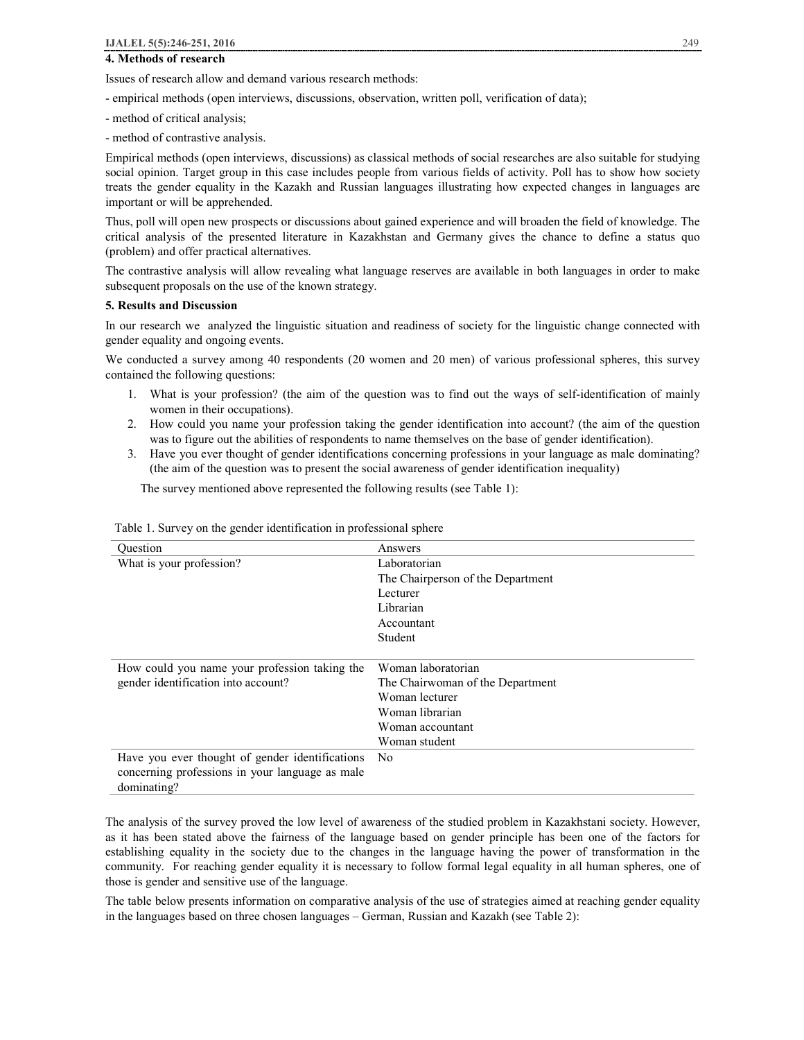# **4. Methods of research**

Issues of research allow and demand various research methods:

- empirical methods (open interviews, discussions, observation, written poll, verification of data);

- method of critical analysis;
- method of contrastive analysis.

Empirical methods (open interviews, discussions) as classical methods of social researches are also suitable for studying social opinion. Target group in this case includes people from various fields of activity. Poll has to show how society treats the gender equality in the Kazakh and Russian languages illustrating how expected changes in languages are important or will be apprehended.

Thus, poll will open new prospects or discussions about gained experience and will broaden the field of knowledge. The critical analysis of the presented literature in Kazakhstan and Germany gives the chance to define a status quo (problem) and offer practical alternatives.

The contrastive analysis will allow revealing what language reserves are available in both languages in order to make subsequent proposals on the use of the known strategy.

## **5. Results and Discussion**

In our research we analyzed the linguistic situation and readiness of society for the linguistic change connected with gender equality and ongoing events.

We conducted a survey among 40 respondents (20 women and 20 men) of various professional spheres, this survey contained the following questions:

- 1. What is your profession? (the aim of the question was to find out the ways of self-identification of mainly women in their occupations).
- 2. How could you name your profession taking the gender identification into account? (the aim of the question was to figure out the abilities of respondents to name themselves on the base of gender identification).
- 3. Have you ever thought of gender identifications concerning professions in your language as male dominating? (the aim of the question was to present the social awareness of gender identification inequality)

The survey mentioned above represented the following results (see Table 1):

| Ouestion                                        | Answers                           |
|-------------------------------------------------|-----------------------------------|
| What is your profession?                        | Laboratorian                      |
|                                                 | The Chairperson of the Department |
|                                                 | Lecturer                          |
|                                                 | Librarian                         |
|                                                 | Accountant                        |
|                                                 | Student                           |
|                                                 |                                   |
| How could you name your profession taking the   | Woman laboratorian                |
| gender identification into account?             | The Chairwoman of the Department  |
|                                                 | Woman lecturer                    |
|                                                 | Woman librarian                   |
|                                                 | Woman accountant                  |
|                                                 | Woman student                     |
| Have you ever thought of gender identifications | N <sub>0</sub>                    |
| concerning professions in your language as male |                                   |
| dominating?                                     |                                   |

Table 1. Survey on the gender identification in professional sphere

The analysis of the survey proved the low level of awareness of the studied problem in Kazakhstani society. However, as it has been stated above the fairness of the language based on gender principle has been one of the factors for establishing equality in the society due to the changes in the language having the power of transformation in the community. For reaching gender equality it is necessary to follow formal legal equality in all human spheres, one of those is gender and sensitive use of the language.

The table below presents information on comparative analysis of the use of strategies aimed at reaching gender equality in the languages based on three chosen languages – German, Russian and Kazakh (see Table 2):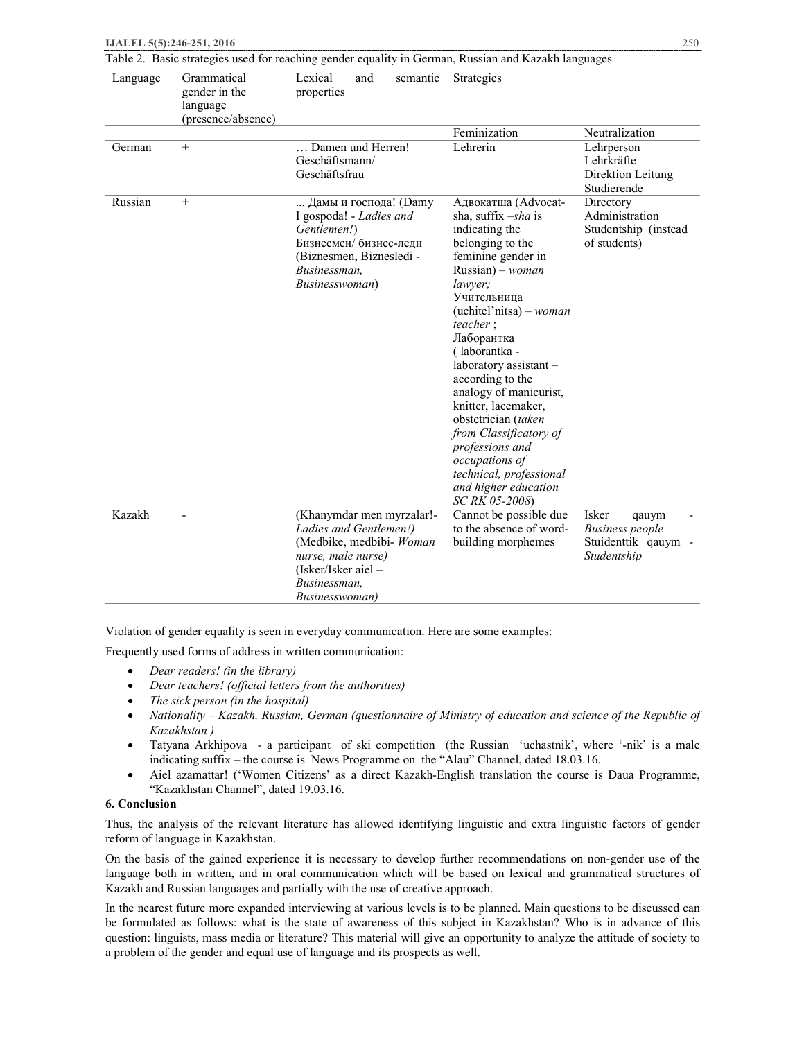| Language | Grammatical<br>gender in the<br>language<br>(presence/absence) | Lexical<br>and<br>semantic<br>properties                                                                                                                         | Strategies                                                                                                                                                                                                                                                                                                                                                                                                                                                                                         |                                                                                |
|----------|----------------------------------------------------------------|------------------------------------------------------------------------------------------------------------------------------------------------------------------|----------------------------------------------------------------------------------------------------------------------------------------------------------------------------------------------------------------------------------------------------------------------------------------------------------------------------------------------------------------------------------------------------------------------------------------------------------------------------------------------------|--------------------------------------------------------------------------------|
|          |                                                                |                                                                                                                                                                  | Feminization                                                                                                                                                                                                                                                                                                                                                                                                                                                                                       | Neutralization                                                                 |
| German   | $+$                                                            | Damen und Herren!<br>Geschäftsmann/<br>Geschäftsfrau                                                                                                             | Lehrerin                                                                                                                                                                                                                                                                                                                                                                                                                                                                                           | Lehrperson<br>Lehrkräfte<br>Direktion Leitung<br>Studierende                   |
| Russian  | $\boldsymbol{+}$                                               | Дамы и господа! (Damy<br>I gospoda! - Ladies and<br>Gentlemen!)<br>Бизнесмен/ бизнес-леди<br>(Biznesmen, Biznesledi -<br>Businessman,<br><i>Businesswoman</i> )  | Адвокатша (Advocat-<br>sha, suffix $-sha$ is<br>indicating the<br>belonging to the<br>feminine gender in<br>$Russian)$ – woman<br>lawyer;<br>Учительница<br>$(uchitel' nitsa) - woman$<br><i>teacher</i> :<br>Лаборантка<br>(laborantka -<br>laboratory assistant-<br>according to the<br>analogy of manicurist,<br>knitter, lacemaker,<br>obstetrician (taken<br>from Classificatory of<br>professions and<br>occupations of<br>technical, professional<br>and higher education<br>SC RK 05-2008) | Directory<br>Administration<br>Studentship (instead<br>of students)            |
| Kazakh   |                                                                | (Khanymdar men myrzalar!-<br>Ladies and Gentlemen!)<br>(Medbike, medbibi- Woman<br>nurse, male nurse)<br>$(Isker/Isker aiel -$<br>Businessman,<br>Businesswoman) | Cannot be possible due<br>to the absence of word-<br>building morphemes                                                                                                                                                                                                                                                                                                                                                                                                                            | Isker<br>qauym<br><b>Business</b> people<br>Stuidenttik qauym -<br>Studentship |

Table 2. Basic strategies used for reaching gender equality in German, Russian and Kazakh languages

Violation of gender equality is seen in everyday communication. Here are some examples:

Frequently used forms of address in written communication:

- · *Dear readers! (in the library)*
- · *Dear teachers! (official letters from the authorities)*
- · *The sick person (in the hospital)*
- · *Nationality – Kazakh, Russian, German (questionnaire of Ministry of education and science of the Republic of Kazakhstan )*
- · Tatyana Arkhipova a participant of ski competition (the Russian 'uchastnik', where '-nik' is a male indicating suffix – the course is News Programme on the "Alau" Channel, dated 18.03.16.
- Aiel azamattar! ('Women Citizens' as a direct Kazakh-English translation the course is Daua Programme, "Kazakhstan Channel", dated 19.03.16.

# **6. Conclusion**

Thus, the analysis of the relevant literature has allowed identifying linguistic and extra linguistic factors of gender reform of language in Kazakhstan.

On the basis of the gained experience it is necessary to develop further recommendations on non-gender use of the language both in written, and in oral communication which will be based on lexical and grammatical structures of Kazakh and Russian languages and partially with the use of creative approach.

In the nearest future more expanded interviewing at various levels is to be planned. Main questions to be discussed can be formulated as follows: what is the state of awareness of this subject in Kazakhstan? Who is in advance of this question: linguists, mass media or literature? This material will give an opportunity to analyze the attitude of society to a problem of the gender and equal use of language and its prospects as well.